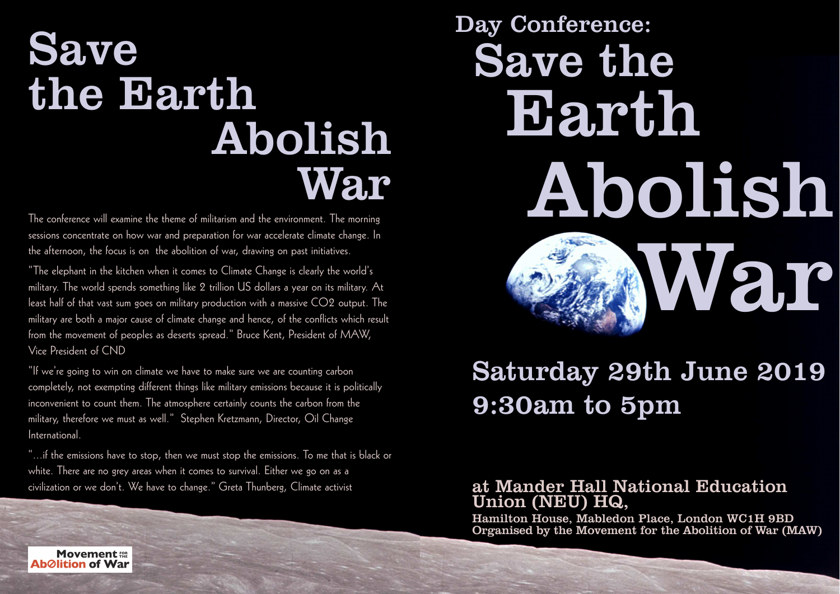# Save the Earth Abolish

The conference will examine the theme of militarism and the environment. The morning sessions concentrate on how war and preparation for war accelerate climate change. In the afternoon, the focus is on the abolition of war, drawing on past initiatives.

"The elephant in the kitchen when it comes to Climate Change is clearly the world's military. The world spends something like 2 trillion US dollars a year on its military. At least half of that vast sum goes on military production with a massive CO2 output. The military are both a major cause of climate change and hence, of the conflicts which result from the movement of peoples as deserts spread." Bruce Kent, President of MAW, Vice President of CND

"If we're going to win on climate we have to make sure we are counting carbon completely, not exempting different things like military emissions because it is politically inconvenient to count them. The atmosphere certainly counts the carbon from the military, therefore we must as well." Stephen Kretzmann, Director, Oil Change International.

"...if the emissions have to stop, then we must stop the emissions. To me that is black or white. There are no grey areas when it comes to survival. Either we go on as a civilization or we don't. We have to change." Greta Thunberg, Climate activist

# War Abolish 2,10 Day Conference: Save the **Earth**

## Saturday 29th June 2019 9:30am to 5pm

#### at Mander Hall National Education Union (NEU) HQ,

Hamilton House, Mabledon Place, London WC1H 9BD Organised by the Movement for the Abolition of War (MAW)